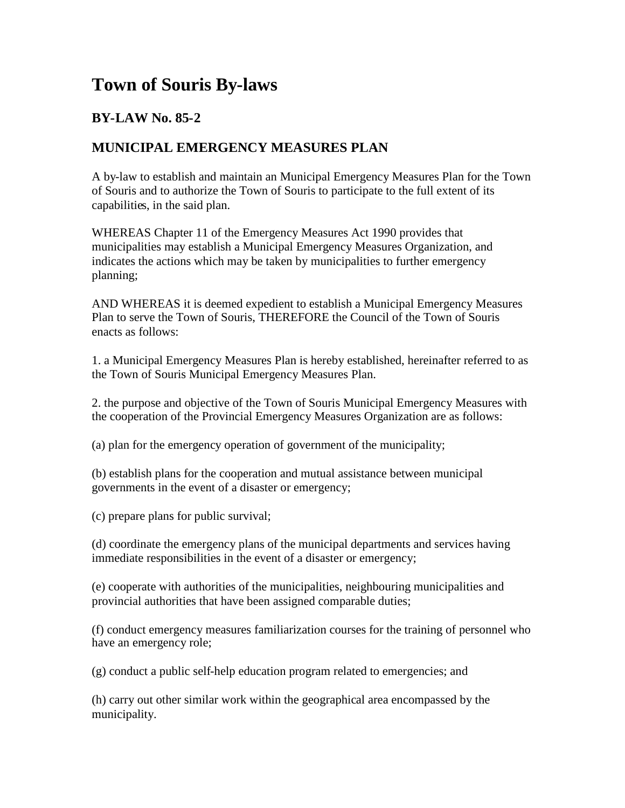## **Town of Souris By-laws**

## **BY-LAW No. 85-2**

## **MUNICIPAL EMERGENCY MEASURES PLAN**

A by-law to establish and maintain an Municipal Emergency Measures Plan for the Town of Souris and to authorize the Town of Souris to participate to the full extent of its capabilities, in the said plan.

WHEREAS Chapter 11 of the Emergency Measures Act 1990 provides that municipalities may establish a Municipal Emergency Measures Organization, and indicates the actions which may be taken by municipalities to further emergency planning;

AND WHEREAS it is deemed expedient to establish a Municipal Emergency Measures Plan to serve the Town of Souris, THEREFORE the Council of the Town of Souris enacts as follows:

1. a Municipal Emergency Measures Plan is hereby established, hereinafter referred to as the Town of Souris Municipal Emergency Measures Plan.

2. the purpose and objective of the Town of Souris Municipal Emergency Measures with the cooperation of the Provincial Emergency Measures Organization are as follows:

(a) plan for the emergency operation of government of the municipality;

(b) establish plans for the cooperation and mutual assistance between municipal governments in the event of a disaster or emergency;

(c) prepare plans for public survival;

(d) coordinate the emergency plans of the municipal departments and services having immediate responsibilities in the event of a disaster or emergency;

(e) cooperate with authorities of the municipalities, neighbouring municipalities and provincial authorities that have been assigned comparable duties;

(f) conduct emergency measures familiarization courses for the training of personnel who have an emergency role;

(g) conduct a public self-help education program related to emergencies; and

(h) carry out other similar work within the geographical area encompassed by the municipality.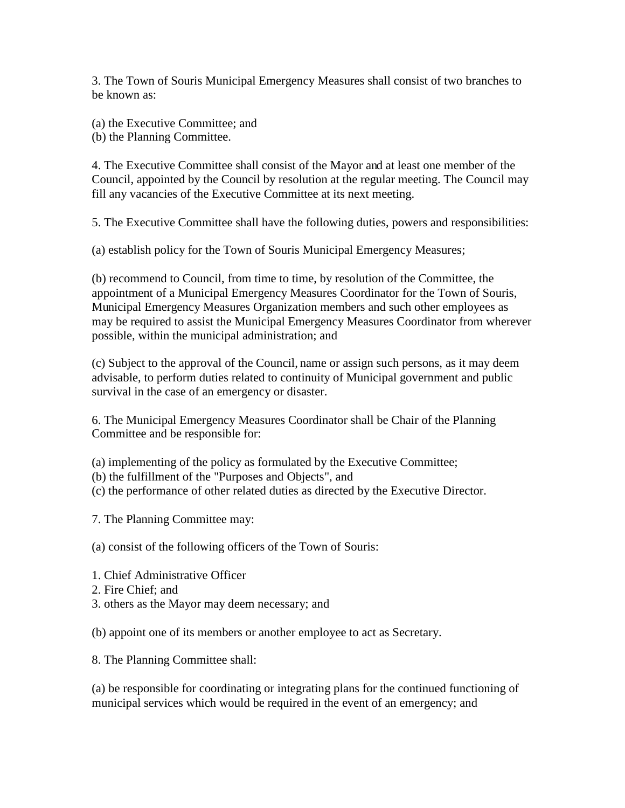3. The Town of Souris Municipal Emergency Measures shall consist of two branches to be known as:

(a) the Executive Committee; and (b) the Planning Committee.

4. The Executive Committee shall consist of the Mayor and at least one member of the Council, appointed by the Council by resolution at the regular meeting. The Council may fill any vacancies of the Executive Committee at its next meeting.

5. The Executive Committee shall have the following duties, powers and responsibilities:

(a) establish policy for the Town of Souris Municipal Emergency Measures;

(b) recommend to Council, from time to time, by resolution of the Committee, the appointment of a Municipal Emergency Measures Coordinator for the Town of Souris, Municipal Emergency Measures Organization members and such other employees as may be required to assist the Municipal Emergency Measures Coordinator from wherever possible, within the municipal administration; and

(c) Subject to the approval of the Council, name or assign such persons, as it may deem advisable, to perform duties related to continuity of Municipal government and public survival in the case of an emergency or disaster.

6. The Municipal Emergency Measures Coordinator shall be Chair of the Planning Committee and be responsible for:

(a) implementing of the policy as formulated by the Executive Committee;

(b) the fulfillment of the "Purposes and Objects", and

(c) the performance of other related duties as directed by the Executive Director.

7. The Planning Committee may:

(a) consist of the following officers of the Town of Souris:

- 1. Chief Administrative Officer
- 2. Fire Chief; and
- 3. others as the Mayor may deem necessary; and

(b) appoint one of its members or another employee to act as Secretary.

8. The Planning Committee shall:

(a) be responsible for coordinating or integrating plans for the continued functioning of municipal services which would be required in the event of an emergency; and